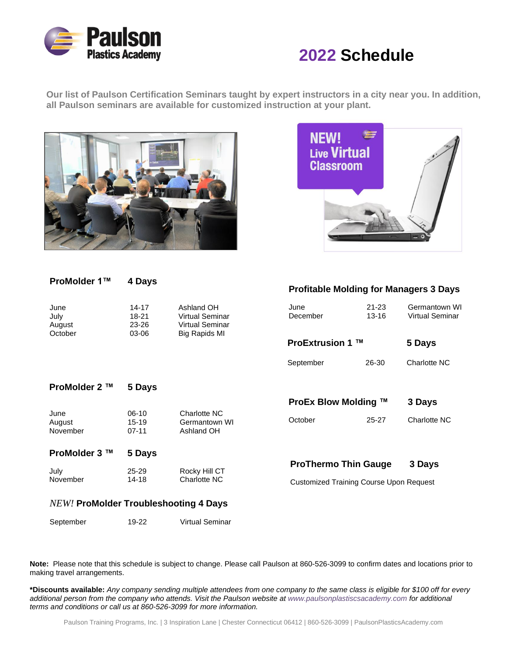

# **2022 Schedule**

**Our list of Paulson Certification Seminars taught by expert instructors in a city near you. In addition, all Paulson seminars are available for customized instruction at your plant.**





#### **ProMolder 1™ 4 Days**

| June    | 14-17 | Ashland OH             |
|---------|-------|------------------------|
| July    | 18-21 | <b>Virtual Seminar</b> |
| August  | 23-26 | Virtual Seminar        |
| October | 03-06 | Big Rapids MI          |

#### **Profitable Molding for Managers 3 Days**

| June<br>July<br>August<br>October | $14 - 17$<br>18-21<br>23-26<br>03-06 | Ashland OH<br><b>Virtual Seminar</b><br><b>Virtual Seminar</b><br>Big Rapids MI | June<br>December                               | 21-23<br>$13 - 16$ | Germantown WI<br><b>Virtual Seminar</b> |
|-----------------------------------|--------------------------------------|---------------------------------------------------------------------------------|------------------------------------------------|--------------------|-----------------------------------------|
|                                   |                                      |                                                                                 | <b>ProExtrusion 1</b>                          | TМ                 | 5 Days                                  |
|                                   |                                      |                                                                                 | September                                      | 26-30              | Charlotte NC                            |
| ProMolder 2 ™                     | 5 Days                               |                                                                                 |                                                |                    |                                         |
|                                   |                                      |                                                                                 | ProEx Blow Molding ™                           |                    | 3 Days                                  |
| June<br>August<br>November        | $06-10$<br>15-19<br>$07 - 11$        | Charlotte NC<br>Germantown WI<br>Ashland OH                                     | October                                        | $25 - 27$          | Charlotte NC                            |
| ProMolder 3 ™                     | 5 Days                               |                                                                                 |                                                |                    |                                         |
| July                              | 25-29                                | Rocky Hill CT                                                                   | <b>ProThermo Thin Gauge</b>                    |                    | 3 Days                                  |
| November                          | 14-18                                | Charlotte NC                                                                    | <b>Customized Training Course Upon Request</b> |                    |                                         |
|                                   |                                      |                                                                                 |                                                |                    |                                         |

#### *NEW!* **ProMolder Troubleshooting 4 Days**

| September<br>Virtual Seminar<br>19-22 |
|---------------------------------------|
|---------------------------------------|

**Note:** Please note that this schedule is subject to change. Please call Paulson at 860-526-3099 to confirm dates and locations prior to making travel arrangements.

\*Discounts available: Any company sending multiple attendees from one company to the same class is eligible for \$100 off for every additional person from the company who attends. Visit the Paulson website at www.paulsonplastiscsacademy.com for additional *terms and conditions or call us at 860-526-3099 for more information.*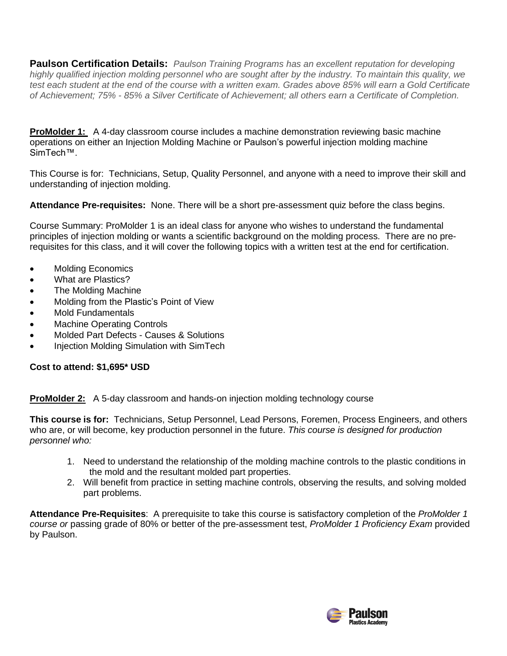**Paulson Certification Details:** *Paulson Training Programs has an excellent reputation for developing* highly qualified injection molding personnel who are sought after by the industry. To maintain this quality, we test each student at the end of the course with a written exam. Grades above 85% will earn a Gold Certificate of Achievement; 75% - 85% a Silver Certificate of Achievement; all others earn a Certificate of Completion.

**ProMolder 1:** A 4-day classroom course includes a machine demonstration reviewing basic machine operations on either an Injection Molding Machine or Paulson's powerful injection molding machine SimTech™.

This Course is for: Technicians, Setup, Quality Personnel, and anyone with a need to improve their skill and understanding of injection molding.

**Attendance Pre-requisites:** None. There will be a short pre-assessment quiz before the class begins.

Course Summary: ProMolder 1 is an ideal class for anyone who wishes to understand the fundamental principles of injection molding or wants a scientific background on the molding process. There are no prerequisites for this class, and it will cover the following topics with a written test at the end for certification.

- Molding Economics
- What are Plastics?
- The Molding Machine
- Molding from the Plastic's Point of View
- Mold Fundamentals
- **Machine Operating Controls**
- Molded Part Defects Causes & Solutions
- Injection Molding Simulation with SimTech

## **Cost to attend: \$1,695\* USD**

**ProMolder 2:** A 5-day classroom and hands-on injection molding technology course

**This course is for:** Technicians, Setup Personnel, Lead Persons, Foremen, Process Engineers, and others who are, or will become, key production personnel in the future. *This course is designed for production personnel who:*

- 1. Need to understand the relationship of the molding machine controls to the plastic conditions in the mold and the resultant molded part properties.
- 2. Will benefit from practice in setting machine controls, observing the results, and solving molded part problems.

**Attendance Pre-Requisites**: A prerequisite to take this course is satisfactory completion of the *ProMolder 1 course or* passing grade of 80% or better of the pre-assessment test, *ProMolder 1 Proficiency Exam* provided by Paulson.

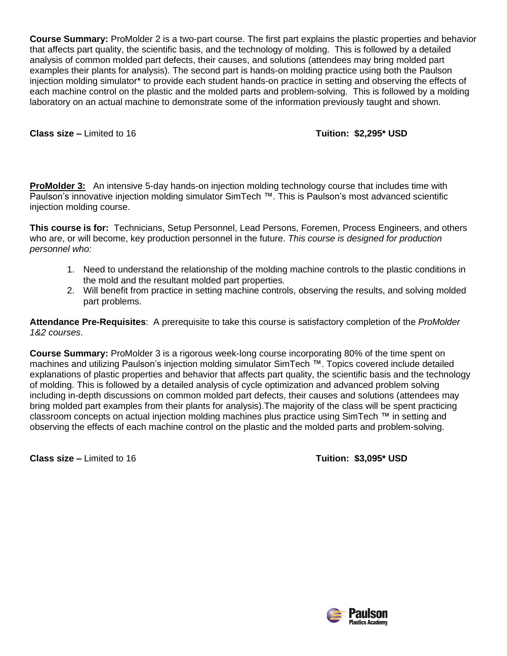**Course Summary:** ProMolder 2 is a two-part course. The first part explains the plastic properties and behavior that affects part quality, the scientific basis, and the technology of molding. This is followed by a detailed analysis of common molded part defects, their causes, and solutions (attendees may bring molded part examples their plants for analysis). The second part is hands-on molding practice using both the Paulson injection molding simulator\* to provide each student hands-on practice in setting and observing the effects of each machine control on the plastic and the molded parts and problem-solving. This is followed by a molding laboratory on an actual machine to demonstrate some of the information previously taught and shown.

**Class size –** Limited to 16 **Tuition: \$2,295\* USD**

**ProMolder 3:** An intensive 5-day hands-on injection molding technology course that includes time with Paulson's innovative injection molding simulator SimTech ™. This is Paulson's most advanced scientific injection molding course.

**This course is for:** Technicians, Setup Personnel, Lead Persons, Foremen, Process Engineers, and others who are, or will become, key production personnel in the future. *This course is designed for production personnel who:*

- 1. Need to understand the relationship of the molding machine controls to the plastic conditions in the mold and the resultant molded part properties.
- 2. Will benefit from practice in setting machine controls, observing the results, and solving molded part problems.

**Attendance Pre-Requisites**: A prerequisite to take this course is satisfactory completion of the *ProMolder 1&2 courses*.

**Course Summary:** ProMolder 3 is a rigorous week-long course incorporating 80% of the time spent on machines and utilizing Paulson's injection molding simulator SimTech ™. Topics covered include detailed explanations of plastic properties and behavior that affects part quality, the scientific basis and the technology of molding. This is followed by a detailed analysis of cycle optimization and advanced problem solving including in-depth discussions on common molded part defects, their causes and solutions (attendees may bring molded part examples from their plants for analysis).The majority of the class will be spent practicing classroom concepts on actual injection molding machines plus practice using SimTech ™ in setting and observing the effects of each machine control on the plastic and the molded parts and problem-solving.

**Class size –** Limited to 16 **Tuition: \$3,095\* USD**

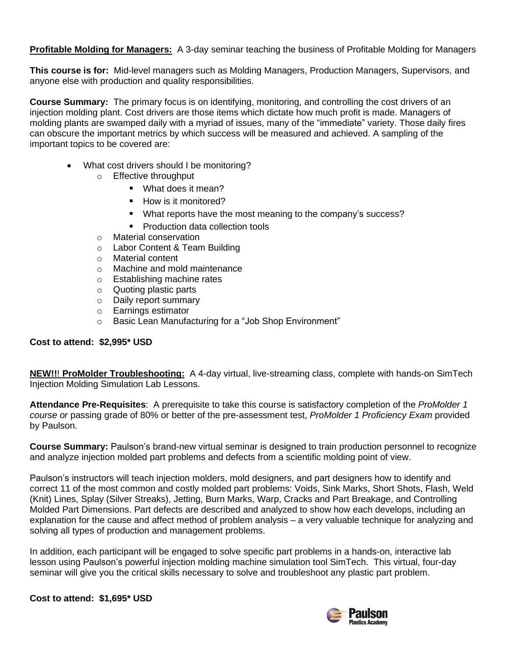**Profitable Molding for Managers:** A 3-day seminar teaching the business of Profitable Molding for Managers

**This course is for:** Mid-level managers such as Molding Managers, Production Managers, Supervisors, and anyone else with production and quality responsibilities.

**Course Summary:** The primary focus is on identifying, monitoring, and controlling the cost drivers of an injection molding plant. Cost drivers are those items which dictate how much profit is made. Managers of molding plants are swamped daily with a myriad of issues, many of the "immediate" variety. Those daily fires can obscure the important metrics by which success will be measured and achieved. A sampling of the important topics to be covered are:

- What cost drivers should I be monitoring?
	- o Effective throughput
		- What does it mean?
		- How is it monitored?
		- What reports have the most meaning to the company's success?
		- Production data collection tools
	- o Material conservation
	- o Labor Content & Team Building
	- o Material content
	- o Machine and mold maintenance
	- o Establishing machine rates
	- o Quoting plastic parts
	- o Daily report summary
	- o Earnings estimator
	- o Basic Lean Manufacturing for a "Job Shop Environment"

## **Cost to attend: \$2,995\* USD**

**NEW!!**! **ProMolder Troubleshooting:** A 4-day virtual, live-streaming class, complete with hands-on SimTech Injection Molding Simulation Lab Lessons.

**Attendance Pre-Requisites**: A prerequisite to take this course is satisfactory completion of the *ProMolder 1 course or* passing grade of 80% or better of the pre-assessment test, *ProMolder 1 Proficiency Exam* provided by Paulson.

**Course Summary:** Paulson's brand-new virtual seminar is designed to train production personnel to recognize and analyze injection molded part problems and defects from a scientific molding point of view.

Paulson's instructors will teach injection molders, mold designers, and part designers how to identify and correct 11 of the most common and costly molded part problems: Voids, Sink Marks, Short Shots, Flash, Weld (Knit) Lines, Splay (Silver Streaks), Jetting, Burn Marks, Warp, Cracks and Part Breakage, and Controlling Molded Part Dimensions. Part defects are described and analyzed to show how each develops, including an explanation for the cause and affect method of problem analysis – a very valuable technique for analyzing and solving all types of production and management problems.

In addition, each participant will be engaged to solve specific part problems in a hands-on, interactive lab lesson using Paulson's powerful injection molding machine simulation tool SimTech. This virtual, four-day seminar will give you the critical skills necessary to solve and troubleshoot any plastic part problem.

**Cost to attend: \$1,695\* USD**

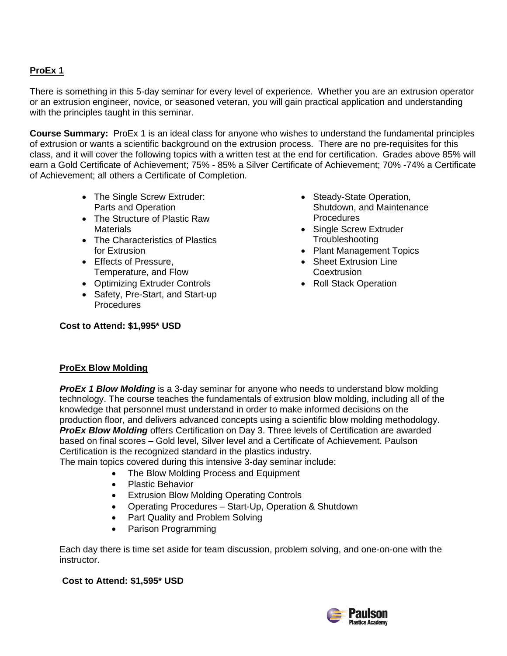# **ProEx 1**

There is something in this 5-day seminar for every level of experience. Whether you are an extrusion operator or an extrusion engineer, novice, or seasoned veteran, you will gain practical application and understanding with the principles taught in this seminar.

**Course Summary:** ProEx 1 is an ideal class for anyone who wishes to understand the fundamental principles of extrusion or wants a scientific background on the extrusion process. There are no pre-requisites for this class, and it will cover the following topics with a written test at the end for certification. Grades above 85% will earn a Gold Certificate of Achievement; 75% - 85% a Silver Certificate of Achievement; 70% -74% a Certificate of Achievement; all others a Certificate of Completion.

- The Single Screw Extruder: Parts and Operation
- The Structure of Plastic Raw **Materials**
- The Characteristics of Plastics for Extrusion
- Effects of Pressure, Temperature, and Flow
- Optimizing Extruder Controls
- Safety, Pre-Start, and Start-up Procedures
- Steady-State Operation, Shutdown, and Maintenance **Procedures**
- Single Screw Extruder **Troubleshooting**
- Plant Management Topics
- Sheet Extrusion Line **Coextrusion**
- Roll Stack Operation

# **Cost to Attend: \$1,995\* USD**

## **ProEx Blow Molding**

*ProEx 1 Blow Molding* is a 3-day seminar for anyone who needs to understand blow molding technology. The course teaches the fundamentals of extrusion blow molding, including all of the knowledge that personnel must understand in order to make informed decisions on the production floor, and delivers advanced concepts using a scientific blow molding methodology. *ProEx Blow Molding* offers Certification on Day 3. Three levels of Certification are awarded based on final scores – Gold level, Silver level and a Certificate of Achievement. Paulson Certification is the recognized standard in the plastics industry.

The main topics covered during this intensive 3-day seminar include:

- The Blow Molding Process and Equipment
- Plastic Behavior
- Extrusion Blow Molding Operating Controls
- Operating Procedures Start-Up, Operation & Shutdown
- Part Quality and Problem Solving
- Parison Programming

Each day there is time set aside for team discussion, problem solving, and one-on-one with the instructor.

## **Cost to Attend: \$1,595\* USD**